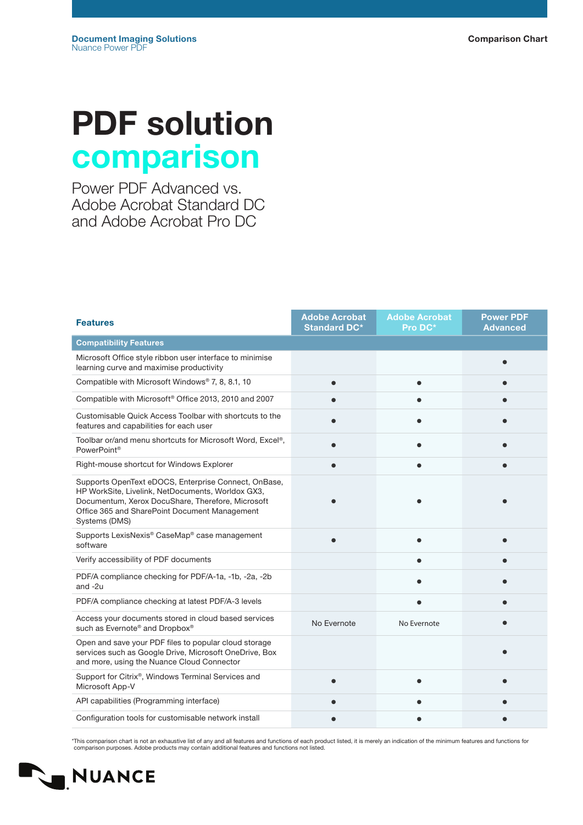## PDF solution comparison

Power PDF Advanced vs. Adobe Acrobat Standard DC and Adobe Acrobat Pro DC

| <b>Features</b>                                                                                                                                                                                                                  | <b>Adobe Acrobat</b><br><b>Standard DC*</b> | <b>Adobe Acrobat</b><br>Pro DC* | <b>Power PDF</b><br><b>Advanced</b> |
|----------------------------------------------------------------------------------------------------------------------------------------------------------------------------------------------------------------------------------|---------------------------------------------|---------------------------------|-------------------------------------|
| <b>Compatibility Features</b>                                                                                                                                                                                                    |                                             |                                 |                                     |
| Microsoft Office style ribbon user interface to minimise<br>learning curve and maximise productivity                                                                                                                             |                                             |                                 |                                     |
| Compatible with Microsoft Windows® 7, 8, 8.1, 10                                                                                                                                                                                 |                                             | $\bullet$                       |                                     |
| Compatible with Microsoft <sup>®</sup> Office 2013, 2010 and 2007                                                                                                                                                                |                                             |                                 |                                     |
| Customisable Quick Access Toolbar with shortcuts to the<br>features and capabilities for each user                                                                                                                               |                                             |                                 |                                     |
| Toolbar or/and menu shortcuts for Microsoft Word, Excel®,<br>PowerPoint <sup>®</sup>                                                                                                                                             |                                             |                                 |                                     |
| Right-mouse shortcut for Windows Explorer                                                                                                                                                                                        |                                             |                                 |                                     |
| Supports OpenText eDOCS, Enterprise Connect, OnBase,<br>HP WorkSite, Livelink, NetDocuments, Worldox GX3,<br>Documentum, Xerox DocuShare, Therefore, Microsoft<br>Office 365 and SharePoint Document Management<br>Systems (DMS) |                                             |                                 |                                     |
| Supports LexisNexis® CaseMap® case management<br>software                                                                                                                                                                        |                                             |                                 |                                     |
| Verify accessibility of PDF documents                                                                                                                                                                                            |                                             |                                 |                                     |
| PDF/A compliance checking for PDF/A-1a, -1b, -2a, -2b<br>and $-2u$                                                                                                                                                               |                                             |                                 |                                     |
| PDF/A compliance checking at latest PDF/A-3 levels                                                                                                                                                                               |                                             |                                 |                                     |
| Access your documents stored in cloud based services<br>such as Evernote® and Dropbox®                                                                                                                                           | No Evernote                                 | No Evernote                     |                                     |
| Open and save your PDF files to popular cloud storage<br>services such as Google Drive, Microsoft OneDrive, Box<br>and more, using the Nuance Cloud Connector                                                                    |                                             |                                 |                                     |
| Support for Citrix®, Windows Terminal Services and<br>Microsoft App-V                                                                                                                                                            |                                             |                                 |                                     |
| API capabilities (Programming interface)                                                                                                                                                                                         |                                             |                                 |                                     |
| Configuration tools for customisable network install                                                                                                                                                                             |                                             |                                 |                                     |

\*This comparison chart is not an exhaustive list of any and all features and functions of each product listed, it is merely an indication of the minimum features and functions for comparison purposes. Adobe products may contain additional features and functions not listed.

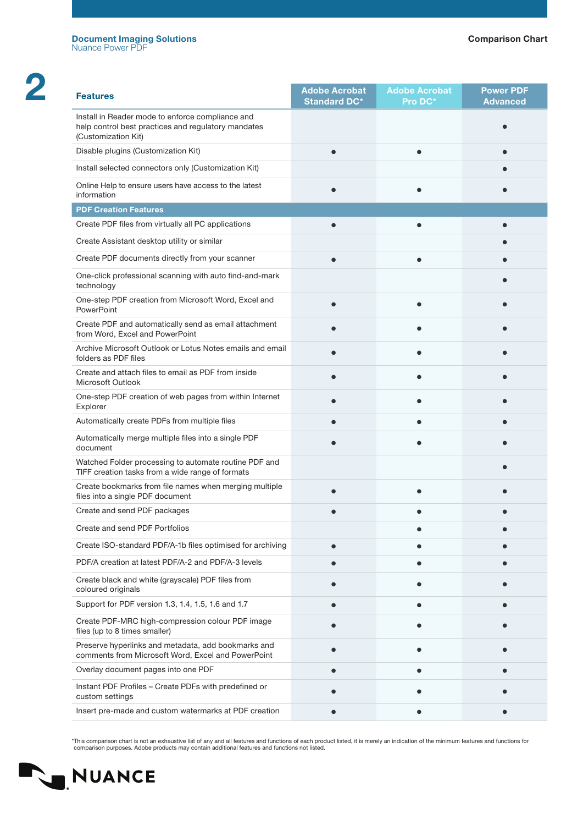| <b>Features</b>                                                                                                                | <b>Adobe Acrobat</b><br><b>Standard DC*</b> | <b>Adobe Acrobat</b><br>Pro DC* | <b>Power PDF</b><br><b>Advanced</b> |
|--------------------------------------------------------------------------------------------------------------------------------|---------------------------------------------|---------------------------------|-------------------------------------|
| Install in Reader mode to enforce compliance and<br>help control best practices and regulatory mandates<br>(Customization Kit) |                                             |                                 |                                     |
| Disable plugins (Customization Kit)                                                                                            |                                             |                                 |                                     |
| Install selected connectors only (Customization Kit)                                                                           |                                             |                                 |                                     |
| Online Help to ensure users have access to the latest<br>information                                                           |                                             |                                 |                                     |
| <b>PDF Creation Features</b>                                                                                                   |                                             |                                 |                                     |
| Create PDF files from virtually all PC applications                                                                            | $\bullet$                                   | $\bullet$                       |                                     |
| Create Assistant desktop utility or similar                                                                                    |                                             |                                 |                                     |
| Create PDF documents directly from your scanner                                                                                |                                             |                                 |                                     |
| One-click professional scanning with auto find-and-mark<br>technology                                                          |                                             |                                 |                                     |
| One-step PDF creation from Microsoft Word, Excel and<br>PowerPoint                                                             |                                             |                                 |                                     |
| Create PDF and automatically send as email attachment<br>from Word, Excel and PowerPoint                                       |                                             |                                 |                                     |
| Archive Microsoft Outlook or Lotus Notes emails and email<br>folders as PDF files                                              |                                             |                                 |                                     |
| Create and attach files to email as PDF from inside<br>Microsoft Outlook                                                       |                                             |                                 |                                     |
| One-step PDF creation of web pages from within Internet<br>Explorer                                                            |                                             |                                 |                                     |
| Automatically create PDFs from multiple files                                                                                  |                                             |                                 |                                     |
| Automatically merge multiple files into a single PDF<br>document                                                               |                                             |                                 |                                     |
| Watched Folder processing to automate routine PDF and<br>TIFF creation tasks from a wide range of formats                      |                                             |                                 |                                     |
| Create bookmarks from file names when merging multiple<br>files into a single PDF document                                     |                                             |                                 |                                     |
| Create and send PDF packages                                                                                                   |                                             |                                 |                                     |
| Create and send PDF Portfolios                                                                                                 |                                             |                                 |                                     |
| Create ISO-standard PDF/A-1b files optimised for archiving                                                                     |                                             |                                 |                                     |
| PDF/A creation at latest PDF/A-2 and PDF/A-3 levels                                                                            |                                             |                                 |                                     |
| Create black and white (grayscale) PDF files from<br>coloured originals                                                        |                                             |                                 |                                     |
| Support for PDF version 1.3, 1.4, 1.5, 1.6 and 1.7                                                                             |                                             |                                 |                                     |
| Create PDF-MRC high-compression colour PDF image<br>files (up to 8 times smaller)                                              |                                             |                                 |                                     |
| Preserve hyperlinks and metadata, add bookmarks and<br>comments from Microsoft Word, Excel and PowerPoint                      |                                             |                                 |                                     |
| Overlay document pages into one PDF                                                                                            |                                             |                                 |                                     |
| Instant PDF Profiles - Create PDFs with predefined or<br>custom settings                                                       |                                             |                                 |                                     |
| Insert pre-made and custom watermarks at PDF creation                                                                          |                                             |                                 |                                     |

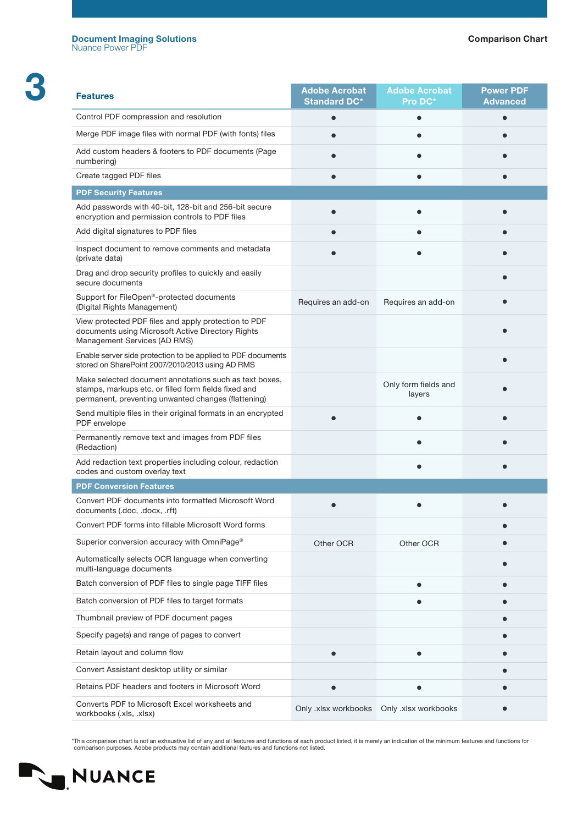| <b>Features</b>                                                                                                                                                       | <b>Adobe Acrobat</b><br><b>Standard DC*</b> | <b>Adobe Acrobat</b><br>Pro DC* | <b>Power PDF</b><br><b>Advanced</b> |
|-----------------------------------------------------------------------------------------------------------------------------------------------------------------------|---------------------------------------------|---------------------------------|-------------------------------------|
| Control PDF compression and resolution                                                                                                                                | $\bullet$                                   | $\bullet$                       |                                     |
| Merge PDF image files with normal PDF (with fonts) files                                                                                                              |                                             |                                 |                                     |
| Add custom headers & footers to PDF documents (Page<br>numbering)                                                                                                     |                                             |                                 |                                     |
| Create tagged PDF files                                                                                                                                               |                                             |                                 |                                     |
| <b>PDF Security Features</b>                                                                                                                                          |                                             |                                 |                                     |
| Add passwords with 40-bit, 128-bit and 256-bit secure<br>encryption and permission controls to PDF files                                                              |                                             |                                 |                                     |
| Add digital signatures to PDF files                                                                                                                                   |                                             |                                 |                                     |
| Inspect document to remove comments and metadata<br>(private data)                                                                                                    |                                             |                                 |                                     |
| Drag and drop security profiles to quickly and easily<br>secure documents                                                                                             |                                             |                                 |                                     |
| Support for FileOpen <sup>®</sup> -protected documents<br>(Digital Rights Management)                                                                                 | Requires an add-on                          | Requires an add-on              |                                     |
| View protected PDF files and apply protection to PDF<br>documents using Microsoft Active Directory Rights<br>Management Services (AD RMS)                             |                                             |                                 |                                     |
| Enable server side protection to be applied to PDF documents<br>stored on SharePoint 2007/2010/2013 using AD RMS                                                      |                                             |                                 |                                     |
| Make selected document annotations such as text boxes,<br>stamps, markups etc. or filled form fields fixed and<br>permanent, preventing unwanted changes (flattening) |                                             | Only form fields and<br>layers  |                                     |
| Send multiple files in their original formats in an encrypted<br>PDF envelope                                                                                         |                                             |                                 |                                     |
| Permanently remove text and images from PDF files<br>(Redaction)                                                                                                      |                                             |                                 |                                     |
| Add redaction text properties including colour, redaction<br>codes and custom overlay text                                                                            |                                             |                                 |                                     |
| <b>PDF Conversion Features</b>                                                                                                                                        |                                             |                                 |                                     |
| Convert PDF documents into formatted Microsoft Word<br>documents (.doc, .docx, .rft)                                                                                  |                                             |                                 |                                     |
| Convert PDF forms into fillable Microsoft Word forms                                                                                                                  |                                             |                                 |                                     |
| Superior conversion accuracy with OmniPage®                                                                                                                           | Other OCR                                   | Other OCR                       |                                     |
| Automatically selects OCR language when converting<br>multi-language documents                                                                                        |                                             |                                 |                                     |
| Batch conversion of PDF files to single page TIFF files                                                                                                               |                                             | $\bullet$                       |                                     |
| Batch conversion of PDF files to target formats                                                                                                                       |                                             |                                 |                                     |
| Thumbnail preview of PDF document pages                                                                                                                               |                                             |                                 |                                     |
| Specify page(s) and range of pages to convert                                                                                                                         |                                             |                                 |                                     |
| Retain layout and column flow                                                                                                                                         |                                             |                                 |                                     |
| Convert Assistant desktop utility or similar                                                                                                                          |                                             |                                 |                                     |
| Retains PDF headers and footers in Microsoft Word                                                                                                                     |                                             |                                 |                                     |
| Converts PDF to Microsoft Excel worksheets and                                                                                                                        | Only .xlsx workbooks                        | Only .xlsx workbooks            |                                     |

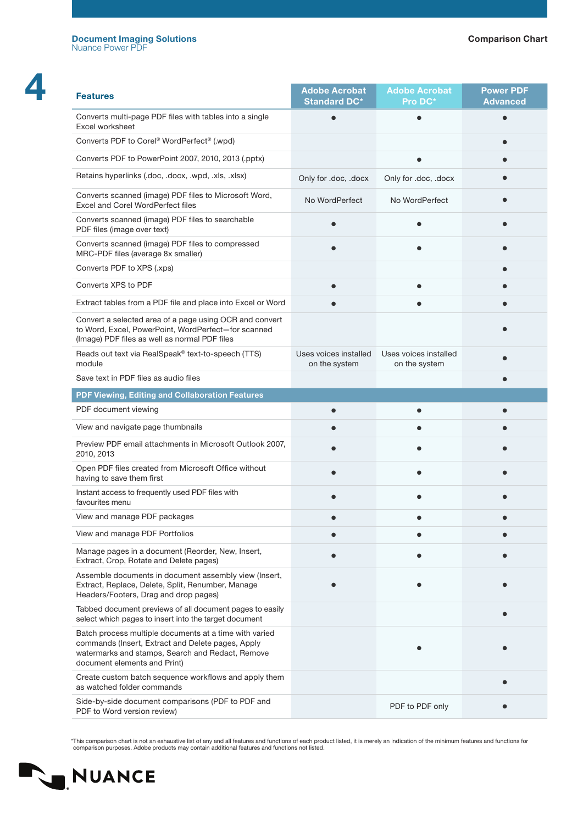Nuance Power PDF

| <b>Features</b>                                                                                                                                                                                 | <b>Adobe Acrobat</b><br><b>Standard DC*</b> | <b>Adobe Acrobat</b><br>Pro DC*        | <b>Power PDF</b><br><b>Advanced</b> |
|-------------------------------------------------------------------------------------------------------------------------------------------------------------------------------------------------|---------------------------------------------|----------------------------------------|-------------------------------------|
| Converts multi-page PDF files with tables into a single<br>Excel worksheet                                                                                                                      |                                             |                                        |                                     |
| Converts PDF to Corel® WordPerfect® (.wpd)                                                                                                                                                      |                                             |                                        |                                     |
| Converts PDF to PowerPoint 2007, 2010, 2013 (.pptx)                                                                                                                                             |                                             |                                        |                                     |
| Retains hyperlinks (.doc, .docx, .wpd, .xls, .xlsx)                                                                                                                                             | Only for .doc, .docx                        | Only for .doc, .docx                   |                                     |
| Converts scanned (image) PDF files to Microsoft Word,<br>Excel and Corel WordPerfect files                                                                                                      | No WordPerfect                              | No WordPerfect                         |                                     |
| Converts scanned (image) PDF files to searchable<br>PDF files (image over text)                                                                                                                 |                                             |                                        |                                     |
| Converts scanned (image) PDF files to compressed<br>MRC-PDF files (average 8x smaller)                                                                                                          |                                             |                                        |                                     |
| Converts PDF to XPS (.xps)                                                                                                                                                                      |                                             |                                        |                                     |
| Converts XPS to PDF                                                                                                                                                                             |                                             |                                        |                                     |
| Extract tables from a PDF file and place into Excel or Word                                                                                                                                     |                                             |                                        |                                     |
| Convert a selected area of a page using OCR and convert<br>to Word, Excel, PowerPoint, WordPerfect-for scanned<br>(Image) PDF files as well as normal PDF files                                 |                                             |                                        |                                     |
| Reads out text via RealSpeak® text-to-speech (TTS)<br>module                                                                                                                                    | Uses voices installed<br>on the system      | Uses voices installed<br>on the system |                                     |
| Save text in PDF files as audio files                                                                                                                                                           |                                             |                                        |                                     |
| PDF Viewing, Editing and Collaboration Features                                                                                                                                                 |                                             |                                        |                                     |
| PDF document viewing                                                                                                                                                                            |                                             |                                        |                                     |
| View and navigate page thumbnails                                                                                                                                                               |                                             |                                        |                                     |
| Preview PDF email attachments in Microsoft Outlook 2007,<br>2010, 2013                                                                                                                          |                                             |                                        |                                     |
| Open PDF files created from Microsoft Office without<br>having to save them first                                                                                                               |                                             |                                        |                                     |
| Instant access to frequently used PDF files with<br>favourites menu                                                                                                                             |                                             |                                        |                                     |
| View and manage PDF packages                                                                                                                                                                    |                                             |                                        |                                     |
| View and manage PDF Portfolios                                                                                                                                                                  |                                             |                                        |                                     |
| Manage pages in a document (Reorder, New, Insert,<br>Extract, Crop, Rotate and Delete pages)                                                                                                    |                                             |                                        |                                     |
| Assemble documents in document assembly view (Insert,<br>Extract, Replace, Delete, Split, Renumber, Manage<br>Headers/Footers, Drag and drop pages)                                             |                                             |                                        |                                     |
| Tabbed document previews of all document pages to easily<br>select which pages to insert into the target document                                                                               |                                             |                                        |                                     |
| Batch process multiple documents at a time with varied<br>commands (Insert, Extract and Delete pages, Apply<br>watermarks and stamps, Search and Redact, Remove<br>document elements and Print) |                                             |                                        |                                     |
| Create custom batch sequence workflows and apply them<br>as watched folder commands                                                                                                             |                                             |                                        |                                     |
| Side-by-side document comparisons (PDF to PDF and<br>PDF to Word version review)                                                                                                                |                                             | PDF to PDF only                        |                                     |
|                                                                                                                                                                                                 |                                             |                                        |                                     |

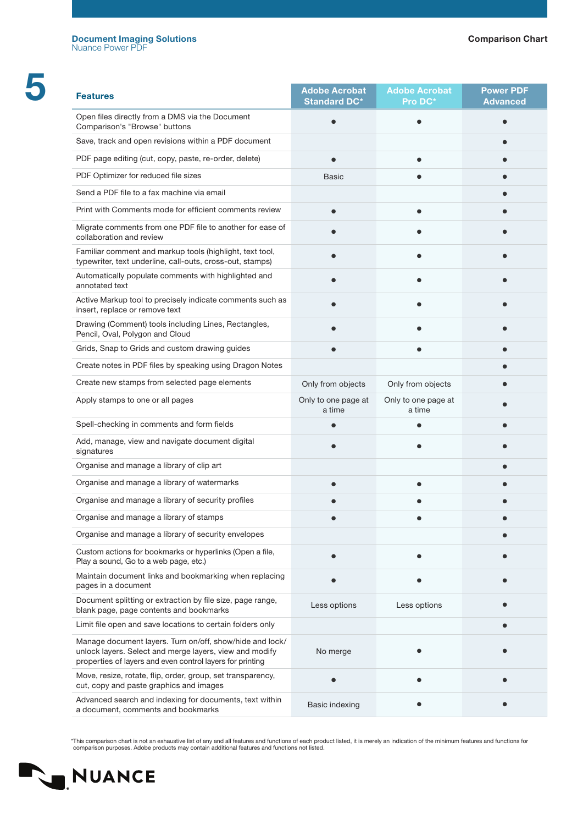Comparison Chart

| ×, |  |
|----|--|

| <b>Features</b>                                                                                                                                                                  | <b>Adobe Acrobat</b><br><b>Standard DC*</b> | <b>Adobe Acrobat</b><br>Pro DC* | <b>Power PDF</b><br><b>Advanced</b> |
|----------------------------------------------------------------------------------------------------------------------------------------------------------------------------------|---------------------------------------------|---------------------------------|-------------------------------------|
| Open files directly from a DMS via the Document<br>Comparison's "Browse" buttons                                                                                                 | $\bullet$                                   | $\bullet$                       |                                     |
| Save, track and open revisions within a PDF document                                                                                                                             |                                             |                                 |                                     |
| PDF page editing (cut, copy, paste, re-order, delete)                                                                                                                            |                                             |                                 |                                     |
| PDF Optimizer for reduced file sizes                                                                                                                                             | <b>Basic</b>                                |                                 |                                     |
| Send a PDF file to a fax machine via email                                                                                                                                       |                                             |                                 |                                     |
| Print with Comments mode for efficient comments review                                                                                                                           |                                             |                                 |                                     |
| Migrate comments from one PDF file to another for ease of<br>collaboration and review                                                                                            |                                             |                                 |                                     |
| Familiar comment and markup tools (highlight, text tool,<br>typewriter, text underline, call-outs, cross-out, stamps)                                                            |                                             |                                 |                                     |
| Automatically populate comments with highlighted and<br>annotated text                                                                                                           |                                             |                                 |                                     |
| Active Markup tool to precisely indicate comments such as<br>insert, replace or remove text                                                                                      |                                             |                                 |                                     |
| Drawing (Comment) tools including Lines, Rectangles,<br>Pencil, Oval, Polygon and Cloud                                                                                          |                                             |                                 |                                     |
| Grids, Snap to Grids and custom drawing guides                                                                                                                                   |                                             |                                 |                                     |
| Create notes in PDF files by speaking using Dragon Notes                                                                                                                         |                                             |                                 |                                     |
| Create new stamps from selected page elements                                                                                                                                    | Only from objects                           | Only from objects               |                                     |
| Apply stamps to one or all pages                                                                                                                                                 | Only to one page at<br>a time               | Only to one page at<br>a time   |                                     |
| Spell-checking in comments and form fields                                                                                                                                       | $\bullet$                                   | $\bullet$                       |                                     |
| Add, manage, view and navigate document digital<br>signatures                                                                                                                    |                                             |                                 |                                     |
| Organise and manage a library of clip art                                                                                                                                        |                                             |                                 |                                     |
| Organise and manage a library of watermarks                                                                                                                                      | $\bullet$                                   |                                 |                                     |
| Organise and manage a library of security profiles                                                                                                                               |                                             |                                 |                                     |
| Organise and manage a library of stamps                                                                                                                                          |                                             |                                 |                                     |
| Organise and manage a library of security envelopes                                                                                                                              |                                             |                                 |                                     |
| Custom actions for bookmarks or hyperlinks (Open a file,<br>Play a sound, Go to a web page, etc.)                                                                                |                                             |                                 |                                     |
| Maintain document links and bookmarking when replacing<br>pages in a document                                                                                                    |                                             |                                 |                                     |
| Document splitting or extraction by file size, page range,<br>blank page, page contents and bookmarks                                                                            | Less options                                | Less options                    |                                     |
| Limit file open and save locations to certain folders only                                                                                                                       |                                             |                                 |                                     |
| Manage document layers. Turn on/off, show/hide and lock/<br>unlock layers. Select and merge layers, view and modify<br>properties of layers and even control layers for printing | No merge                                    |                                 |                                     |
| Move, resize, rotate, flip, order, group, set transparency,<br>cut, copy and paste graphics and images                                                                           |                                             |                                 |                                     |
| Advanced search and indexing for documents, text within<br>a document, comments and bookmarks                                                                                    | <b>Basic indexing</b>                       |                                 |                                     |
|                                                                                                                                                                                  |                                             |                                 |                                     |